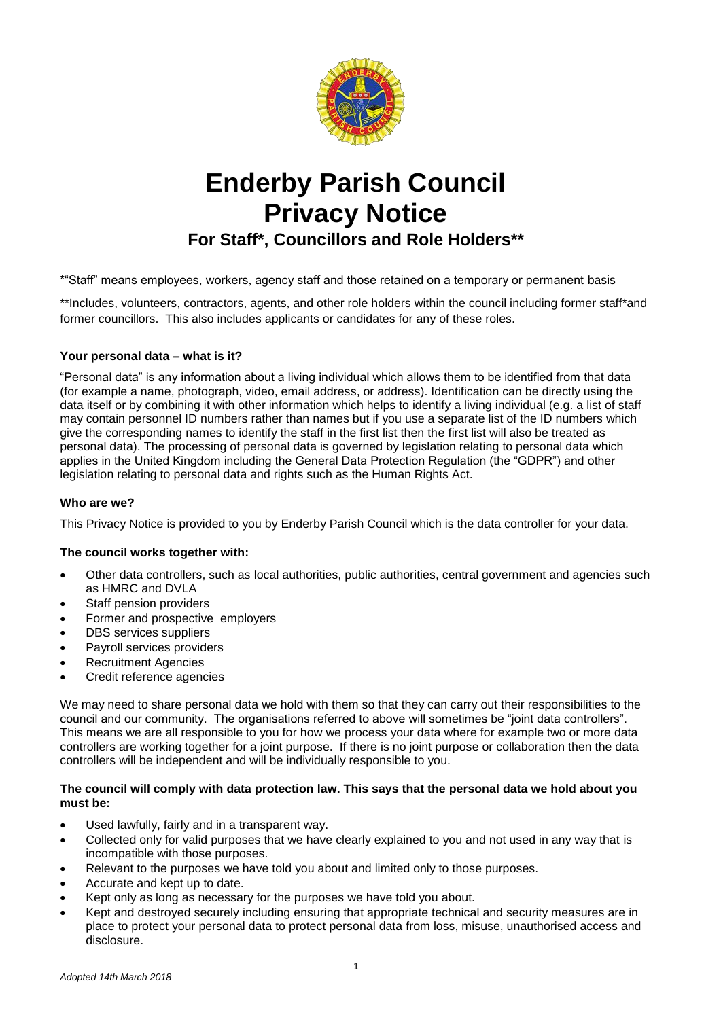

# **Enderby Parish Council Privacy Notice**

**For Staff\*, Councillors and Role Holders\*\***

\*"Staff" means employees, workers, agency staff and those retained on a temporary or permanent basis

\*\*Includes, volunteers, contractors, agents, and other role holders within the council including former staff\*and former councillors. This also includes applicants or candidates for any of these roles.

# **Your personal data – what is it?**

"Personal data" is any information about a living individual which allows them to be identified from that data (for example a name, photograph, video, email address, or address). Identification can be directly using the data itself or by combining it with other information which helps to identify a living individual (e.g. a list of staff may contain personnel ID numbers rather than names but if you use a separate list of the ID numbers which give the corresponding names to identify the staff in the first list then the first list will also be treated as personal data). The processing of personal data is governed by legislation relating to personal data which applies in the United Kingdom including the General Data Protection Regulation (the "GDPR") and other legislation relating to personal data and rights such as the Human Rights Act.

# **Who are we?**

This Privacy Notice is provided to you by Enderby Parish Council which is the data controller for your data.

# **The council works together with:**

- Other data controllers, such as local authorities, public authorities, central government and agencies such as HMRC and DVLA
- Staff pension providers
- Former and prospective employers
- DBS services suppliers
- Payroll services providers
- Recruitment Agencies
- Credit reference agencies

We may need to share personal data we hold with them so that they can carry out their responsibilities to the council and our community. The organisations referred to above will sometimes be "joint data controllers". This means we are all responsible to you for how we process your data where for example two or more data controllers are working together for a joint purpose. If there is no joint purpose or collaboration then the data controllers will be independent and will be individually responsible to you.

## **The council will comply with data protection law. This says that the personal data we hold about you must be:**

- Used lawfully, fairly and in a transparent way.
- Collected only for valid purposes that we have clearly explained to you and not used in any way that is incompatible with those purposes.
- Relevant to the purposes we have told you about and limited only to those purposes.
- Accurate and kept up to date.
- Kept only as long as necessary for the purposes we have told you about.
- Kept and destroyed securely including ensuring that appropriate technical and security measures are in place to protect your personal data to protect personal data from loss, misuse, unauthorised access and disclosure.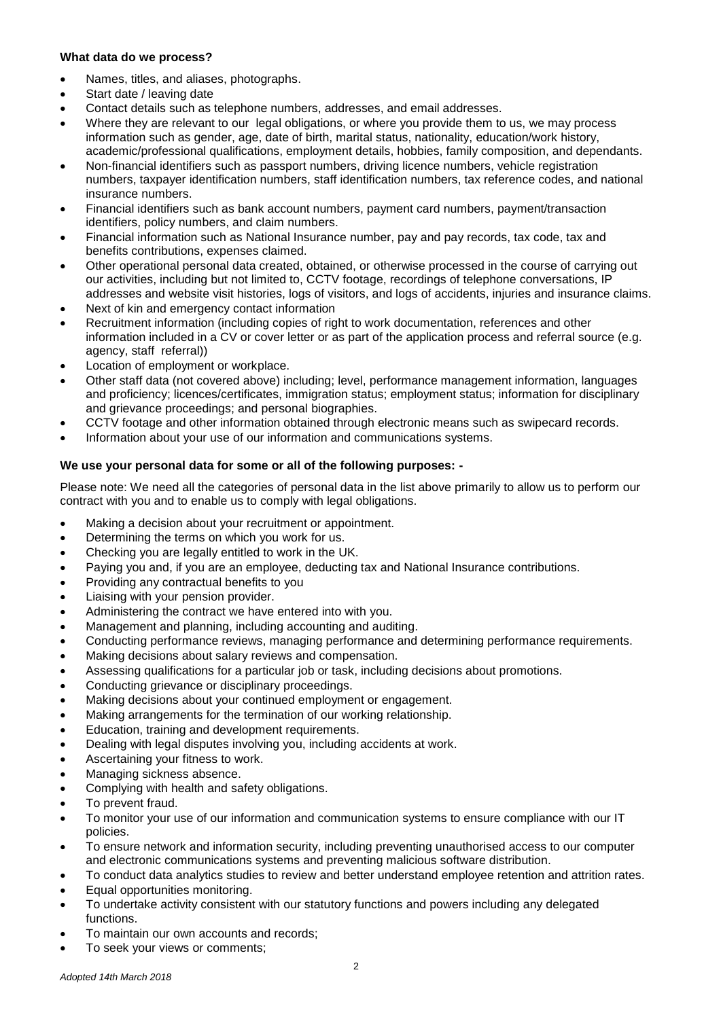# **What data do we process?**

- Names, titles, and aliases, photographs.
- Start date / leaving date
- Contact details such as telephone numbers, addresses, and email addresses.
- Where they are relevant to our legal obligations, or where you provide them to us, we may process information such as gender, age, date of birth, marital status, nationality, education/work history, academic/professional qualifications, employment details, hobbies, family composition, and dependants.
- Non-financial identifiers such as passport numbers, driving licence numbers, vehicle registration numbers, taxpayer identification numbers, staff identification numbers, tax reference codes, and national insurance numbers.
- Financial identifiers such as bank account numbers, payment card numbers, payment/transaction identifiers, policy numbers, and claim numbers.
- Financial information such as National Insurance number, pay and pay records, tax code, tax and benefits contributions, expenses claimed.
- Other operational personal data created, obtained, or otherwise processed in the course of carrying out our activities, including but not limited to, CCTV footage, recordings of telephone conversations, IP addresses and website visit histories, logs of visitors, and logs of accidents, injuries and insurance claims.
- Next of kin and emergency contact information
- Recruitment information (including copies of right to work documentation, references and other information included in a CV or cover letter or as part of the application process and referral source (e.g. agency, staff referral))
- Location of employment or workplace.
- Other staff data (not covered above) including; level, performance management information, languages and proficiency; licences/certificates, immigration status; employment status; information for disciplinary and grievance proceedings; and personal biographies.
- CCTV footage and other information obtained through electronic means such as swipecard records.
- Information about your use of our information and communications systems.

## **We use your personal data for some or all of the following purposes: -**

Please note: We need all the categories of personal data in the list above primarily to allow us to perform our contract with you and to enable us to comply with legal obligations.

- Making a decision about your recruitment or appointment.
- Determining the terms on which you work for us.
- Checking you are legally entitled to work in the UK.
- Paying you and, if you are an employee, deducting tax and National Insurance contributions.
- Providing any contractual benefits to you
- Liaising with your pension provider.
- Administering the contract we have entered into with you.
- Management and planning, including accounting and auditing.
- Conducting performance reviews, managing performance and determining performance requirements.
- Making decisions about salary reviews and compensation.
- Assessing qualifications for a particular job or task, including decisions about promotions.
- Conducting grievance or disciplinary proceedings.
- Making decisions about your continued employment or engagement.
- Making arrangements for the termination of our working relationship.
- Education, training and development requirements.
- Dealing with legal disputes involving you, including accidents at work.
- Ascertaining your fitness to work.
- Managing sickness absence.
- Complying with health and safety obligations.
- To prevent fraud.
- To monitor your use of our information and communication systems to ensure compliance with our IT policies.
- To ensure network and information security, including preventing unauthorised access to our computer and electronic communications systems and preventing malicious software distribution.
- To conduct data analytics studies to review and better understand employee retention and attrition rates.
- Equal opportunities monitoring.
- To undertake activity consistent with our statutory functions and powers including any delegated functions.
- To maintain our own accounts and records;
- To seek your views or comments;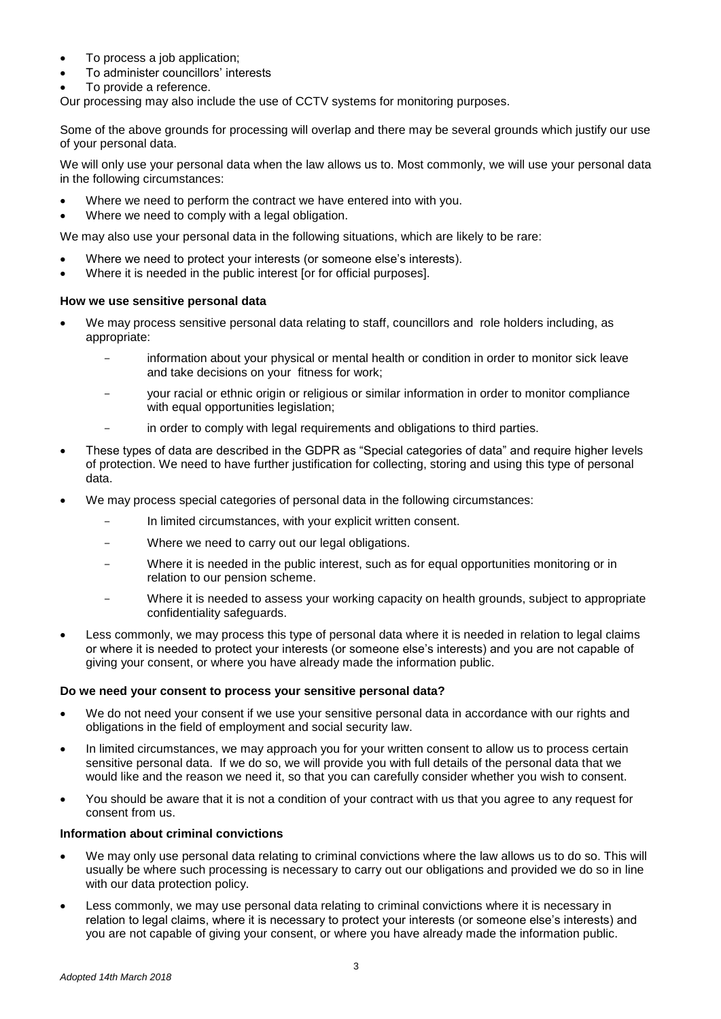- To process a job application;
- To administer councillors' interests
- To provide a reference.

Our processing may also include the use of CCTV systems for monitoring purposes.

Some of the above grounds for processing will overlap and there may be several grounds which justify our use of your personal data.

We will only use your personal data when the law allows us to. Most commonly, we will use your personal data in the following circumstances:

- Where we need to perform the contract we have entered into with you.
- Where we need to comply with a legal obligation.

We may also use your personal data in the following situations, which are likely to be rare:

- Where we need to protect your interests (or someone else's interests).
- Where it is needed in the public interest [or for official purposes].

## **How we use sensitive personal data**

- We may process sensitive personal data relating to staff, councillors and role holders including, as appropriate:
	- information about your physical or mental health or condition in order to monitor sick leave and take decisions on your fitness for work;
	- your racial or ethnic origin or religious or similar information in order to monitor compliance with equal opportunities legislation;
	- in order to comply with legal requirements and obligations to third parties.
- These types of data are described in the GDPR as "Special categories of data" and require higher levels of protection. We need to have further justification for collecting, storing and using this type of personal data.
- We may process special categories of personal data in the following circumstances:
	- In limited circumstances, with your explicit written consent.
	- Where we need to carry out our legal obligations.
	- Where it is needed in the public interest, such as for equal opportunities monitoring or in relation to our pension scheme.
	- Where it is needed to assess your working capacity on health grounds, subject to appropriate confidentiality safeguards.
- Less commonly, we may process this type of personal data where it is needed in relation to legal claims or where it is needed to protect your interests (or someone else's interests) and you are not capable of giving your consent, or where you have already made the information public.

#### **Do we need your consent to process your sensitive personal data?**

- We do not need your consent if we use your sensitive personal data in accordance with our rights and obligations in the field of employment and social security law.
- In limited circumstances, we may approach you for your written consent to allow us to process certain sensitive personal data. If we do so, we will provide you with full details of the personal data that we would like and the reason we need it, so that you can carefully consider whether you wish to consent.
- You should be aware that it is not a condition of your contract with us that you agree to any request for consent from us.

#### **Information about criminal convictions**

- We may only use personal data relating to criminal convictions where the law allows us to do so. This will usually be where such processing is necessary to carry out our obligations and provided we do so in line with our data protection policy.
- Less commonly, we may use personal data relating to criminal convictions where it is necessary in relation to legal claims, where it is necessary to protect your interests (or someone else's interests) and you are not capable of giving your consent, or where you have already made the information public.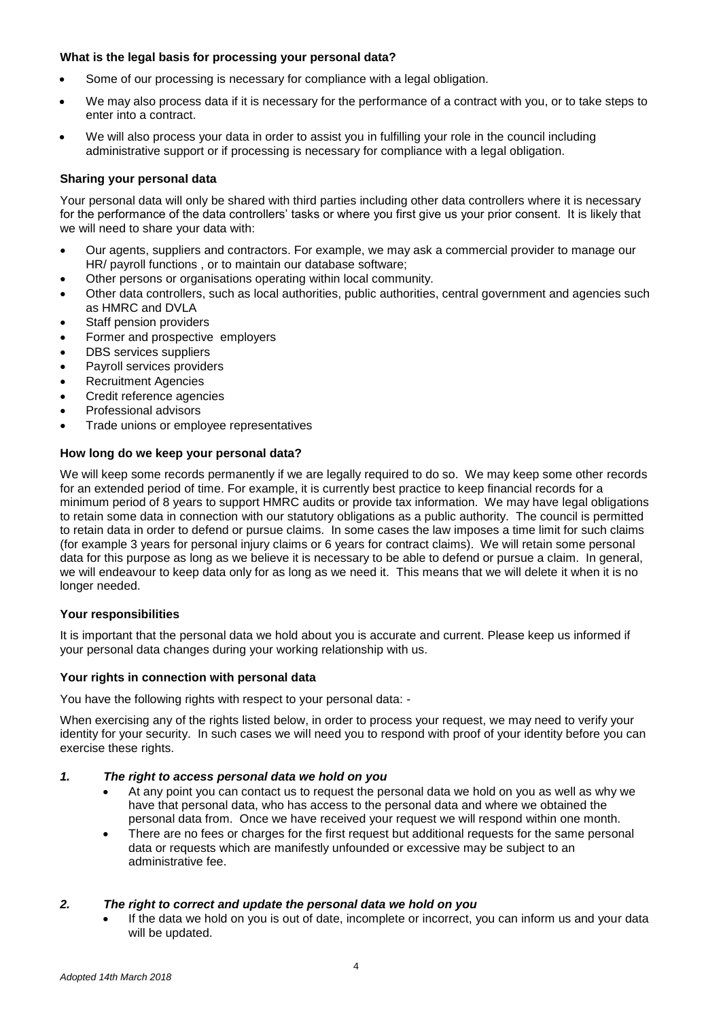# **What is the legal basis for processing your personal data?**

- Some of our processing is necessary for compliance with a legal obligation.
- We may also process data if it is necessary for the performance of a contract with you, or to take steps to enter into a contract.
- We will also process your data in order to assist you in fulfilling your role in the council including administrative support or if processing is necessary for compliance with a legal obligation.

## **Sharing your personal data**

Your personal data will only be shared with third parties including other data controllers where it is necessary for the performance of the data controllers' tasks or where you first give us your prior consent. It is likely that we will need to share your data with:

- Our agents, suppliers and contractors. For example, we may ask a commercial provider to manage our HR/ payroll functions , or to maintain our database software;
- Other persons or organisations operating within local community.
- Other data controllers, such as local authorities, public authorities, central government and agencies such as HMRC and DVLA
- Staff pension providers
- Former and prospective employers
- DBS services suppliers
- Payroll services providers
- Recruitment Agencies
- Credit reference agencies
- Professional advisors
- Trade unions or employee representatives

## **How long do we keep your personal data?**

We will keep some records permanently if we are legally required to do so. We may keep some other records for an extended period of time. For example, it is currently best practice to keep financial records for a minimum period of 8 years to support HMRC audits or provide tax information. We may have legal obligations to retain some data in connection with our statutory obligations as a public authority. The council is permitted to retain data in order to defend or pursue claims. In some cases the law imposes a time limit for such claims (for example 3 years for personal injury claims or 6 years for contract claims). We will retain some personal data for this purpose as long as we believe it is necessary to be able to defend or pursue a claim. In general, we will endeavour to keep data only for as long as we need it. This means that we will delete it when it is no longer needed.

#### **Your responsibilities**

It is important that the personal data we hold about you is accurate and current. Please keep us informed if your personal data changes during your working relationship with us.

#### **Your rights in connection with personal data**

You have the following rights with respect to your personal data: -

When exercising any of the rights listed below, in order to process your request, we may need to verify your identity for your security. In such cases we will need you to respond with proof of your identity before you can exercise these rights.

## *1. The right to access personal data we hold on you*

- At any point you can contact us to request the personal data we hold on you as well as why we have that personal data, who has access to the personal data and where we obtained the personal data from. Once we have received your request we will respond within one month.
- There are no fees or charges for the first request but additional requests for the same personal data or requests which are manifestly unfounded or excessive may be subject to an administrative fee.

# *2. The right to correct and update the personal data we hold on you*

 If the data we hold on you is out of date, incomplete or incorrect, you can inform us and your data will be updated.